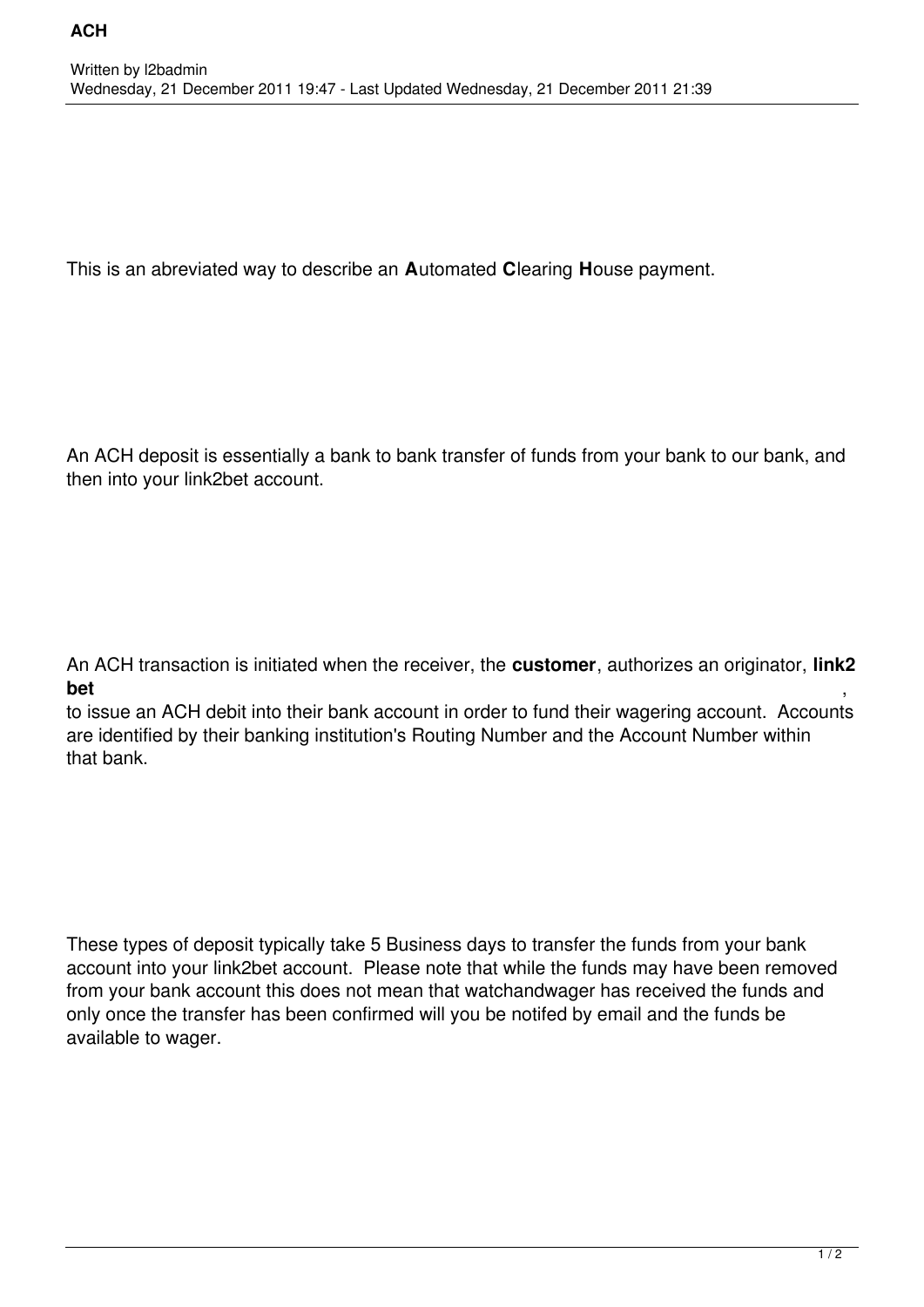This is an abreviated way to describe an **A**utomated **C**learing **H**ouse payment.

An ACH deposit is essentially a bank to bank transfer of funds from your bank to our bank, and then into your link2bet account.

An ACH transaction is initiated when the receiver, the **customer**, authorizes an originator, **link2 bet** ,

to issue an ACH debit into their bank account in order to fund their wagering account. Accounts are identified by their banking institution's Routing Number and the Account Number within that bank.

These types of deposit typically take 5 Business days to transfer the funds from your bank account into your link2bet account. Please note that while the funds may have been removed from your bank account this does not mean that watchandwager has received the funds and only once the transfer has been confirmed will you be notifed by email and the funds be available to wager.